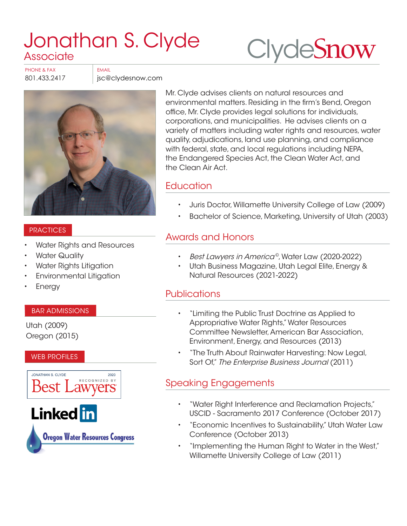# [Jonathan S. Clyde](https://www.clydesnow.com/attorneys/9-Jonathan-S-Clyde) Associate

**Clyde[Snow](http://www.clydesnow.com)** 

PHONE & FAX BEMAIL

801.433.2417 **jsc@clydesnow.com** 



#### **PRACTICES**

- Water Rights and Resources
- **Water Quality**
- Water Rights Litigation
- Environmental Litigation
- **Energy**

#### BAR ADMISSIONS

Utah (2009) Oregon (2015)

#### WEB PROFILES



Mr. Clyde advises clients on natural resources and environmental matters. Residing in the firm's Bend, Oregon office, Mr. Clyde provides legal solutions for individuals, corporations, and municipalities. He advises clients on a variety of matters including water rights and resources, water quality, adjudications, land use planning, and compliance with federal, state, and local regulations including NEPA, the Endangered Species Act, the Clean Water Act, and the Clean Air Act.

## **Education**

- Juris Doctor, Willamette University College of Law (2009)
- Bachelor of Science, Marketing, University of Utah (2003)

## Awards and Honors

- Best Lawyers in America©, Water Law (2020-2022)
- Utah Business Magazine, Utah Legal Elite, Energy & Natural Resources (2021-2022)

## **Publications**

- "Limiting the Public Trust Doctrine as Applied to Appropriative Water Rights," Water Resources Committee Newsletter, American Bar Association, Environment, Energy, and Resources (2013)
- "The Truth About Rainwater Harvesting: Now Legal, Sort Of," The Enterprise Business Journal (2011)

# Speaking Engagements

- "Water Right Interference and Reclamation Projects," USCID - Sacramento 2017 Conference (October 2017)
- "Economic Incentives to Sustainability," Utah Water Law Conference (October 2013)
- "Implementing the Human Right to Water in the West," Willamette University College of Law (2011)